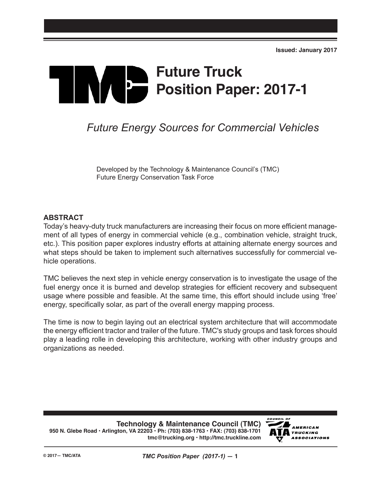# **Future Truck**  $\mathbf{p}$ **Position Paper: 2017-1**

# *Future Energy Sources for Commercial Vehicles*

Developed by the Technology & Maintenance Council's (TMC) Future Energy Conservation Task Force

#### **ABSTRACT**

Today's heavy-duty truck manufacturers are increasing their focus on more efficient management of all types of energy in commercial vehicle (e.g., combination vehicle, straight truck, etc.). This position paper explores industry efforts at attaining alternate energy sources and what steps should be taken to implement such alternatives successfully for commercial vehicle operations.

TMC believes the next step in vehicle energy conservation is to investigate the usage of the fuel energy once it is burned and develop strategies for efficient recovery and subsequent usage where possible and feasible. At the same time, this effort should include using 'free' energy, specifically solar, as part of the overall energy mapping process.

The time is now to begin laying out an electrical system architecture that will accommodate the energy efficient tractor and trailer of the future. TMC's study groups and task forces should play a leading rolle in developing this architecture, working with other industry groups and organizations as needed.

**Technology & Maintenance Council (TMC) 950 N. Glebe Road • Arlington, VA 22203 • Ph: (703) 838-1763 • FAX: (703) 838-1701 tmc@trucking.org • http://tmc.truckline.com**

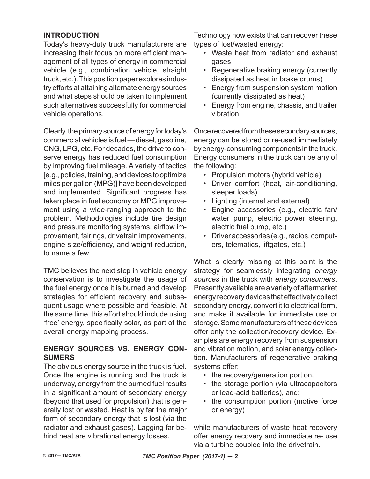#### **INTRODUCTION**

Today's heavy-duty truck manufacturers are increasing their focus on more efficient management of all types of energy in commercial vehicle (e.g., combination vehicle, straight truck, etc.). This position paper explores industry efforts at attaining alternate energy sources and what steps should be taken to implement such alternatives successfully for commercial vehicle operations.

Clearly, the primary source of energy for today's commercial vehicles is fuel — diesel, gasoline, CNG, LPG, etc. For decades, the drive to conserve energy has reduced fuel consumption by improving fuel mileage. A variety of tactics [e.g., policies, training, and devices to optimize miles per gallon (MPG)] have been developed and implemented. Significant progress has taken place in fuel economy or MPG improvement using a wide-ranging approach to the problem. Methodologies include tire design and pressure monitoring systems, airflow improvement, fairings, drivetrain improvements, engine size/efficiency, and weight reduction, to name a few.

TMC believes the next step in vehicle energy conservation is to investigate the usage of the fuel energy once it is burned and develop strategies for efficient recovery and subsequent usage where possible and feasible. At the same time, this effort should include using 'free' energy, specifically solar, as part of the overall energy mapping process.

#### **ENERGY SOURCES VS. ENERGY CON-SUMERS**

The obvious energy source in the truck is fuel. Once the engine is running and the truck is underway, energy from the burned fuel results in a significant amount of secondary energy (beyond that used for propulsion) that is generally lost or wasted. Heat is by far the major form of secondary energy that is lost (via the radiator and exhaust gases). Lagging far behind heat are vibrational energy losses.

Technology now exists that can recover these types of lost/wasted energy:

- Waste heat from radiator and exhaust gases
- Regenerative braking energy (currently dissipated as heat in brake drums)
- Energy from suspension system motion (currently dissipated as heat)
- Energy from engine, chassis, and trailer vibration

Once recovered from these secondary sources, energy can be stored or re-used immediately by energy-consuming components in the truck. Energy consumers in the truck can be any of the following:

- Propulsion motors (hybrid vehicle)
- Driver comfort (heat, air-conditioning, sleeper loads)
- Lighting (internal and external)
- Engine accessories (e.g., electric fan/ water pump, electric power steering, electric fuel pump, etc.)
- Driver accessories (e.g., radios, computers, telematics, liftgates, etc.)

What is clearly missing at this point is the strategy for seamlessly integrating *energy sources* in the truck with *energy consumers*. Presently available are a variety of aftermarket energy recovery devices that effectively collect secondary energy, convert it to electrical form, and make it available for immediate use or storage. Some manufacturers of these devices offer only the collection/recovery device. Examples are energy recovery from suspension and vibration motion, and solar energy collection. Manufacturers of regenerative braking systems offer:

- the recovery/generation portion,
- the storage portion (via ultracapacitors or lead-acid batteries), and;
- the consumption portion (motive force or energy)

while manufacturers of waste heat recovery offer energy recovery and immediate re- use via a turbine coupled into the drivetrain.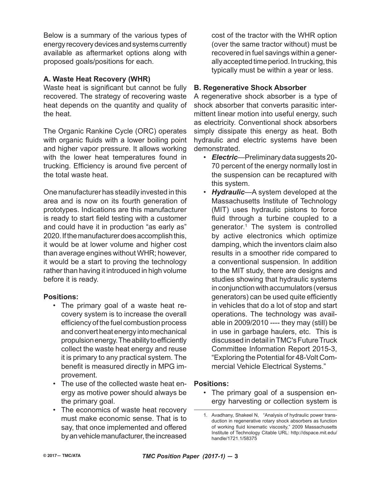Below is a summary of the various types of energy recovery devices and systems currently available as aftermarket options along with proposed goals/positions for each.

#### **A. Waste Heat Recovery (WHR)**

Waste heat is significant but cannot be fully recovered. The strategy of recovering waste heat depends on the quantity and quality of the heat.

The Organic Rankine Cycle (ORC) operates with organic fluids with a lower boiling point and higher vapor pressure. It allows working with the lower heat temperatures found in trucking. Efficiency is around five percent of the total waste heat.

One manufacturer has steadily invested in this area and is now on its fourth generation of prototypes. Indications are this manufacturer is ready to start field testing with a customer and could have it in production "as early as" 2020. If the manufacturer does accomplish this, it would be at lower volume and higher cost than average engines without WHR; however, it would be a start to proving the technology rather than having it introduced in high volume before it is ready.

# **Positions:**

- The primary goal of a waste heat recovery system is to increase the overall efficiency of the fuel combustion process and convert heat energy into mechanical propulsion energy. The ability to efficiently collect the waste heat energy and reuse it is primary to any practical system. The benefit is measured directly in MPG improvement.
- The use of the collected waste heat energy as motive power should always be the primary goal.
- The economics of waste heat recovery must make economic sense. That is to say, that once implemented and offered by an vehicle manufacturer, the increased

cost of the tractor with the WHR option (over the same tractor without) must be recovered in fuel savings within a generally accepted time period. In trucking, this typically must be within a year or less.

#### **B. Regenerative Shock Absorber**

A regenerative shock absorber is a type of shock absorber that converts parasitic intermittent linear motion into useful energy, such as electricity. Conventional shock absorbers simply dissipate this energy as heat. Both hydraulic and electric systems have been demonstrated.

- *Electric*—Preliminary data suggests 20- 70 percent of the energy normally lost in the suspension can be recaptured with this system.
- *Hydraulic*—A system developed at the Massachusetts Institute of Technology (MIT) uses hydraulic pistons to force fluid through a turbine coupled to a generator.1 The system is controlled by active electronics which optimize damping, which the inventors claim also results in a smoother ride compared to a conventional suspension. In addition to the MIT study, there are designs and studies showing that hydraulic systems in conjunction with accumulators (versus generators) can be used quite efficiently in vehicles that do a lot of stop and start operations. The technology was available in 2009/2010 ---- they may (still) be in use in garbage haulers, etc. This is discussed in detail in TMC's Future Truck Committee Information Report 2015-3, "Exploring the Potential for 48-Volt Commercial Vehicle Electrical Systems."

#### **Positions:**

• The primary goal of a suspension energy harvesting or collection system is

<sup>1.</sup> Avadhany, Shakeel N, "Analysis of hydraulic power transduction in regenerative rotary shock absorbers as function of working fluid kinematic viscosity," 2009 Massachusetts Institute of Technology Citable URL: http://dspace.mit.edu/ handle/1721.1/58375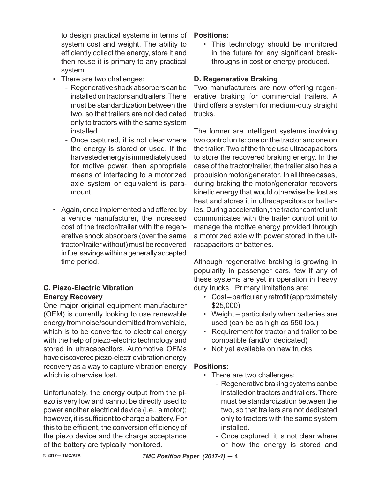to design practical systems in terms of system cost and weight. The ability to efficiently collect the energy, store it and then reuse it is primary to any practical system.

- There are two challenges:
	- Regenerative shock absorbers can be installed on tractors and trailers. There must be standardization between the two, so that trailers are not dedicated only to tractors with the same system installed.
	- Once captured, it is not clear where the energy is stored or used. If the harvested energy is immediately used for motive power, then appropriate means of interfacing to a motorized axle system or equivalent is paramount.
- Again, once implemented and offered by a vehicle manufacturer, the increased cost of the tractor/trailer with the regenerative shock absorbers (over the same tractor/trailer without) must be recovered in fuel savings within a generally accepted time period.

# **C. Piezo-Electric Vibration Energy Recovery**

One major original equipment manufacturer (OEM) is currently looking to use renewable energy from noise/sound emitted from vehicle, which is to be converted to electrical energy with the help of piezo-electric technology and stored in ultracapacitors. Automotive OEMs have discovered piezo-electric vibration energy recovery as a way to capture vibration energy which is otherwise lost.

Unfortunately, the energy output from the piezo is very low and cannot be directly used to power another electrical device (i.e., a motor); however, it is sufficient to charge a battery. For this to be efficient, the conversion efficiency of the piezo device and the charge acceptance of the battery are typically monitored.

#### **Positions:**

• This technology should be monitored in the future for any significant breakthroughs in cost or energy produced.

# **D. Regenerative Braking**

Two manufacturers are now offering regenerative braking for commercial trailers. A third offers a system for medium-duty straight trucks.

The former are intelligent systems involving two control units: one on the tractor and one on the trailer. Two of the three use ultracapacitors to store the recovered braking energy. In the case of the tractor/trailer, the trailer also has a propulsion motor/generator. In all three cases, during braking the motor/generator recovers kinetic energy that would otherwise be lost as heat and stores it in ultracapacitors or batteries. During acceleration, the tractor control unit communicates with the trailer control unit to manage the motive energy provided through a motorized axle with power stored in the ultracapacitors or batteries.

Although regenerative braking is growing in popularity in passenger cars, few if any of these systems are yet in operation in heavy duty trucks. Primary limitations are:

- Cost particularly retrofit (approximately \$25,000)
- Weight particularly when batteries are used (can be as high as 550 lbs.)
- Requirement for tractor and trailer to be compatible (and/or dedicated)
- Not yet available on new trucks

# **Positions**:

- There are two challenges:
	- Regenerative braking systems can be installed on tractors and trailers. There must be standardization between the two, so that trailers are not dedicated only to tractors with the same system installed.
	- Once captured, it is not clear where or how the energy is stored and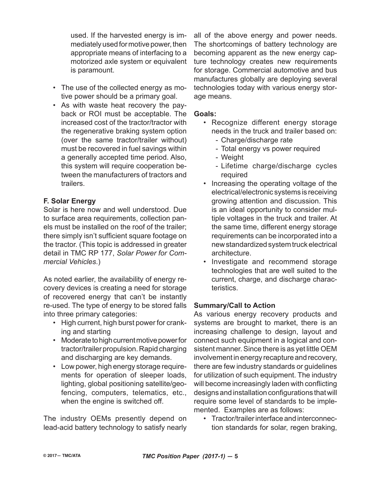used. If the harvested energy is immediately used for motive power, then appropriate means of interfacing to a motorized axle system or equivalent is paramount.

- The use of the collected energy as motive power should be a primary goal.
- As with waste heat recovery the payback or ROI must be acceptable. The increased cost of the tractor/tractor with the regenerative braking system option (over the same tractor/trailer without) must be recovered in fuel savings within a generally accepted time period. Also, this system will require cooperation between the manufacturers of tractors and trailers.

# **F. Solar Energy**

Solar is here now and well understood. Due to surface area requirements, collection panels must be installed on the roof of the trailer; there simply isn't sufficient square footage on the tractor. (This topic is addressed in greater detail in TMC RP 177, *Solar Power for Commercial Vehicles*.)

As noted earlier, the availability of energy recovery devices is creating a need for storage of recovered energy that can't be instantly re-used. The type of energy to be stored falls into three primary categories:

- High current, high burst power for cranking and starting
- Moderate to high current motive power for tractor/trailer propulsion. Rapid charging and discharging are key demands.
- Low power, high energy storage requirements for operation of sleeper loads, lighting, global positioning satellite/geofencing, computers, telematics, etc., when the engine is switched off.

The industry OEMs presently depend on lead-acid battery technology to satisfy nearly

all of the above energy and power needs. The shortcomings of battery technology are becoming apparent as the new energy capture technology creates new requirements for storage. Commercial automotive and bus manufactures globally are deploying several technologies today with various energy storage means.

#### **Goals:**

- Recognize different energy storage needs in the truck and trailer based on:
	- Charge/discharge rate
	- Total energy vs power required
	- Weight
	- Lifetime charge/discharge cycles required
- Increasing the operating voltage of the electrical/electronic systems is receiving growing attention and discussion. This is an ideal opportunity to consider multiple voltages in the truck and trailer. At the same time, different energy storage requirements can be incorporated into a new standardized system truck electrical architecture.
- Investigate and recommend storage technologies that are well suited to the current, charge, and discharge characteristics.

# **Summary/Call to Action**

As various energy recovery products and systems are brought to market, there is an increasing challenge to design, layout and connect such equipment in a logical and consistent manner. Since there is as yet little OEM involvement in energy recapture and recovery, there are few industry standards or guidelines for utilization of such equipment. The industry will become increasingly laden with conflicting designs and installation configurations that will require some level of standards to be implemented. Examples are as follows:

• Tractor/trailer interface and interconnection standards for solar, regen braking,